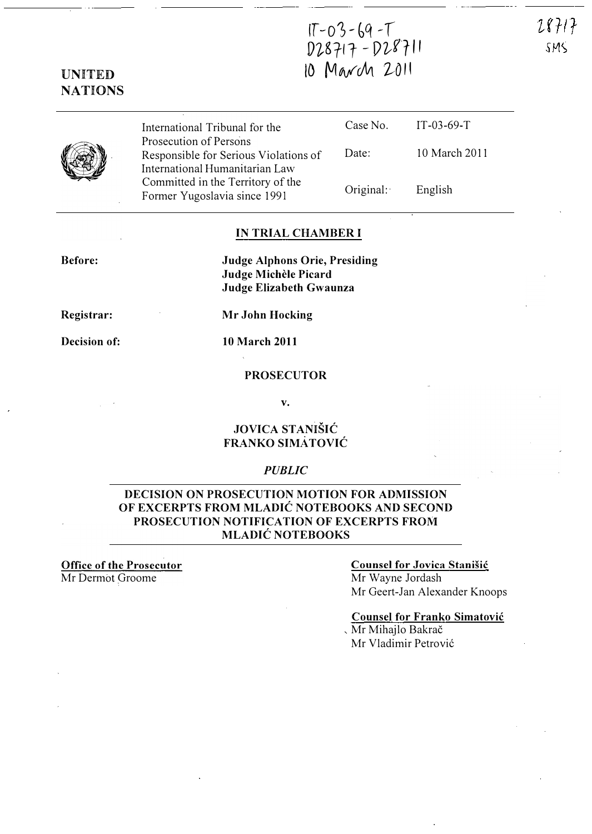$28717$ SMS

## UNITED NATIONS

|   | International Tribunal for the                                                                    |           | Case No. $IT-03-69-T$ |
|---|---------------------------------------------------------------------------------------------------|-----------|-----------------------|
| Y | Prosecution of Persons<br>Responsible for Serious Violations of<br>International Humanitarian Law | Date:     | 10 March 2011         |
|   | Committed in the Territory of the<br>Former Yugoslavia since 1991                                 | Original: | English               |

IT-03-69-T

V�g'fl t - [)��'r 11

10 March 2011

### IN TRIAL CHAMBER I

Before:

Judge Alphons Orie, Presiding Judge Michele Picard Judge Elizabeth Gwaunza

Registrar:

Decision of: 10 March 2011

Mr John Hocking

### PROSECUTOR

v.

## JOVICA STANIŠIĆ FRANKO SIMATOVIC

### PUBLIC

### DECISION ON PROSECUTION MOTION FOR ADMISSION OF EXCERPTS FROM MLADIC NOTEBOOKS AND SECOND PROSECUTION NOTIFICATION OF EXCERPTS FROM MLADIC NOTEBOOKS

Office of the Prosecutor Mr Dermot Groome

### Counsel for Jovica Stanišić

Mr Wayne Jordash Mr Geert-Jan Alexander Knoops

Counsel for Franko Simatovic

, Mr Mihajlo Bakrac Mr Vladimir Petrović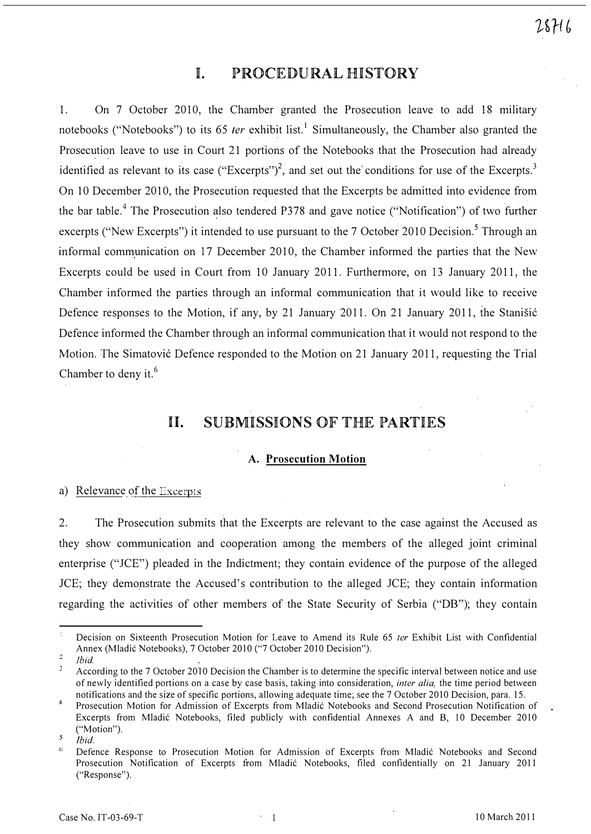# I. PROCEDURAL HISTORY

1. On 7 October 2010, the Chamber granted the Prosecution leave to add 18 military notebooks ("Notebooks") to its 65 *ter* exhibit list.<sup>1</sup> Simultaneously, the Chamber also granted the Prosecution leave to use in Court 21 portions of the Notebooks that the Prosecution had already identified as relevant to its case ("Excerpts")<sup>2</sup>, and set out the conditions for use of the Excerpts.<sup>3</sup> On 10 December 2010, the Prosecution requested that the Excerpts be admitted into evidence from the bar table.<sup>4</sup> The Prosecution also tendered P378 and gave notice ("Notification") of two further excerpts ("New Excerpts") it intended to use pursuant to the 7 October 2010 Decision.<sup>5</sup> Through an informal communication on 17 December 2010, the Chamber informed the parties that the New Excerpts could be used in Court from 10 January 2011. Furthermore, on 13 January 2011, the Chamber informed the parties through an informal communication that it would like to receive Defence responses to the Motion, if any, by 21 January 2011. On 21 January 2011, the Stanisić Defence informed the Chamber through an informal communication that it would not respond to the Motion. The Simatović Defence responded to the Motion on 21 January 2011, requesting the Trial Chamber to deny it.<sup>6</sup>

# 11. SUBMISSIONS OF THE PARTIES

### A. Prosecution Motion

#### a) Relevance of the Excerpts

2. The Prosecution submits that the Excerpts are relevant to the case against the Accused as they show communication and cooperation among the members of the alleged joint criminal enterprise ("JCE") pleaded in the Indictment; they contain evidence of the purpose of the alleged JCE; they demonstrate the Accused's contribution to the alleged JCE; they contain information regarding the activities of other members of the State Security of Serbia ("DB"); they contain

Decision on Sixteenth Prosecution Motion for Leave to Amend its Rule 65 ter Exhibit List with Confidential Annex (Mladic Notebooks), 7 October 2010 ("7 October 2010 Decision").  $\overline{2}$ 

<sup>/</sup>bid

According to the 7 October 2010 Decision the Chamber is to determine the specific interval between notice and use of newly identified portions on a case by case basis, taking into consideration, *inter alia*, the time period between notifications and the size of specific portions, allowing adequate time; see the 7 October 2010 Decision, para. 15.

<sup>4</sup>  Prosecution Motion for Admission of Excerpts from Mladic Notebooks and Second Prosecution Notification of Excerpts from Mladic Notebooks, filed publicly with confidential Annexes A and B, 10 December 2010 ("Motion").  $\overline{\mathbf{S}}$ 

<sup>/</sup>bid.

 $\mathbf G$ Defence Response to Prosecution Motion for Admission of Excerpts from Mladic Notebooks and Second Prosecution Notification of Excerpts from Mladic Notebooks, filed confidentially on 21 January 2011 ("Response").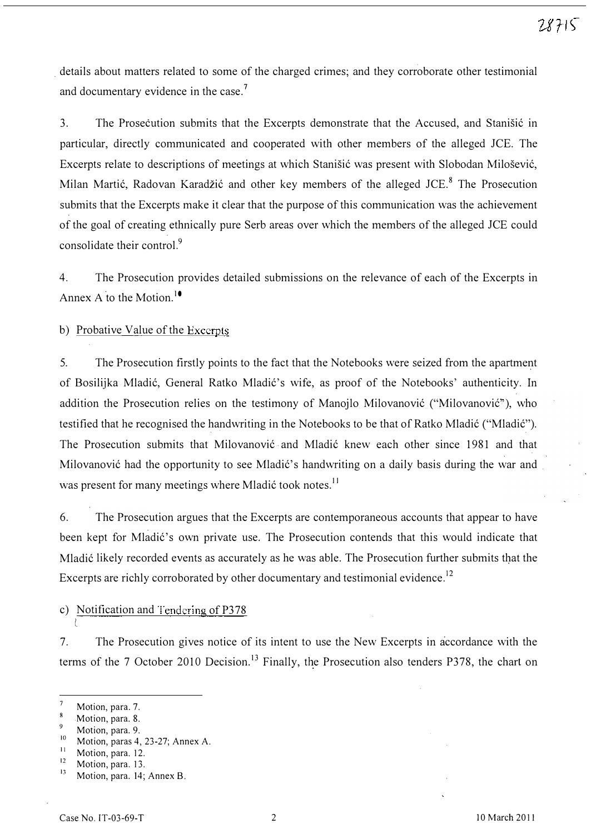details about matters related to some of the charged crimes; and they corroborate other testimonial and documentary evidence in the case.<sup>7</sup>

3. The Prosecution submits that the Excerpts demonstrate that the Accused, and Stanistic in particular, directly communicated and cooperated with other members of the alleged JCE. The Excerpts relate to descriptions of meetings at which Stanišić was present with Slobodan Milošević, Milan Martić, Radovan Karadžić and other key members of the alleged JCE.<sup>8</sup> The Prosecution submits that the Excerpts make it clear that the purpose of this communication was the achievement of the goal of creating ethnically pure Serb areas over which the members of the alleged JCE could consolidate their control<sup>9</sup>

4. The Prosecution provides detailed submissions on the relevance of each of the Excerpts in Annex A to the Motion.<sup>10</sup>

b) Probative Value of the Excerpts

5. The Prosecution firstly points to the fact that the Notebooks were seized from the apartment of Bosilijka Mladić, General Ratko Mladić's wife, as proof of the Notebooks' authenticity. In addition the Prosecution relies on the testimony of Manojlo Milovanović ("Milovanović"), who testified that he recognised the handwriting in the Notebooks to be that of Ratko Mladić ("Mladić"). The Prosecution submits that Milovanović and Mladić knew each other since 1981 and that Milovanović had the opportunity to see Mladić's handwriting on a daily basis during the war and was present for many meetings where Mladić took notes.<sup>11</sup>

6. The Prosecution argues that the Excerpts are contemporaneous accounts that appear to have been kept for Mladić's own private use. The Prosecution contends that this would indicate that Mladić likely recorded events as accurately as he was able. The Prosecution further submits that the Excerpts are richly corroborated by other documentary and testimonial evidence.<sup>12</sup>

c) Notification and Tendering of P378

7. The Prosecution gives notice of its intent to use the New Excerpts in accordance with the terms of the 7 October 2010 Decision.<sup>13</sup> Finally, the Prosecution also tenders P378, the chart on

l

 $\overline{7}$ Motion, para. 7.

<sup>8</sup> Motion, para. 8.  $\overline{Q}$ 

 $\frac{9}{10}$  Motion, para. 9.

 $10$  Motion, paras 4, 23-27; Annex A.

 $\frac{11}{12}$  Motion, para. 12.

Motion, para. 13. 1

Motion, para. 14; Annex B.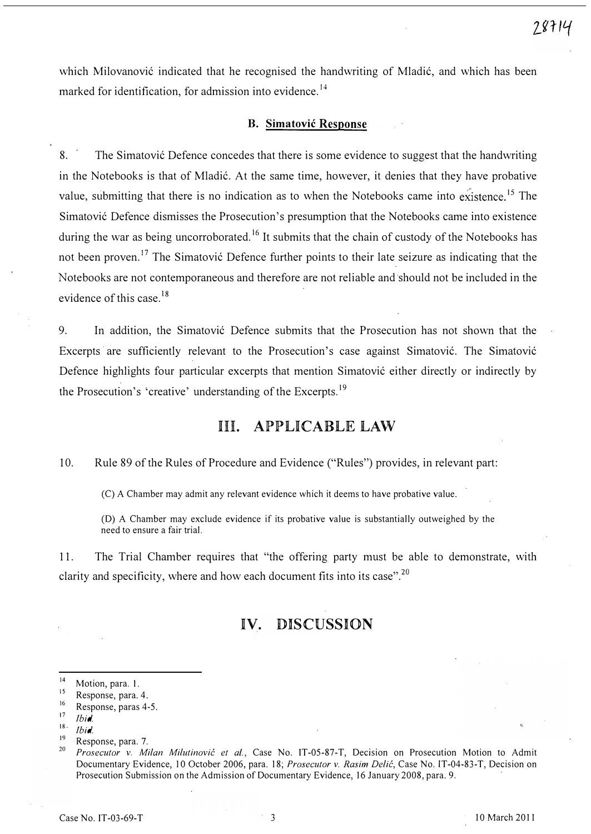which Milovanović indicated that he recognised the handwriting of Mladić, and which has been marked for identification, for admission into evidence.<sup>14</sup>

#### B. Simatovic Response

8. <sup>The Simatovic Defence concedes that there is some evidence to suggest that the handwriting</sup> in the Notebooks is that of Mladic. At the same time, however, it denies that they have probative value, submitting that there is no indication as to when the Notebooks came into existence.<sup>15</sup> The Simatovic Defence dismisses the Prosecution's presumption that the Notebooks came into existence during the war as being uncorroborated.<sup>16</sup> It submits that the chain of custody of the Notebooks has not been proven.<sup>17</sup> The Simatović Defence further points to their late seizure as indicating that the Notebooks are not contemporaneous and therefore are not reliable and should not be included in the evidence of this case.<sup>18</sup>

9. In addition, the Simatovic Defence submits that the Prosecution has not shown that the Excerpts are sufficiently relevant to the Prosecution's case against Simatovic. The Simatovic Defence highlights four particular excerpts that mention Simatovic either directly or indirectly by the Prosecution's 'creative' understanding of the Excerpts.<sup>19</sup>

## Ill. APPLICABLE LAW

10. Rule 89 of the Rules of Procedure and Evidence ("Rules") provides, in relevant part:

(C) A Chamber may admit any relevant evidence which it deems to have probative value.

(D) A Chamber may exclude evidence if its probative value is substantially outweighed by the need to ensure a fair trial.

11. The Trial Chamber requires that "the offering party must be able to demonstrate, with clarity and specificity, where and how each document fits into its case".<sup>20</sup>

# IV. DISCUSSION

<sup>&</sup>lt;sup>14</sup> Motion, para. 1.

<sup>1</sup>  $\frac{15}{16}$  Response, para. 4.

 $16$  Response, paras 4-5.

Ibid.

 $18$  Ibid.

<sup>&</sup>lt;sup>19</sup> Response, para. 7.

<sup>2</sup> Prosecutor v. Milan Milutinović et al., Case No. IT-05-87-T, Decision on Prosecution Motion to Admit Documentary Evidence, 10 October 2006, para. 18; Prosecutor v. Rasim Delić, Case No. IT-04-83-T, Decision on Prosecution Submission on the Admission of Documentary Evidence, 16 January 2008, para. 9. '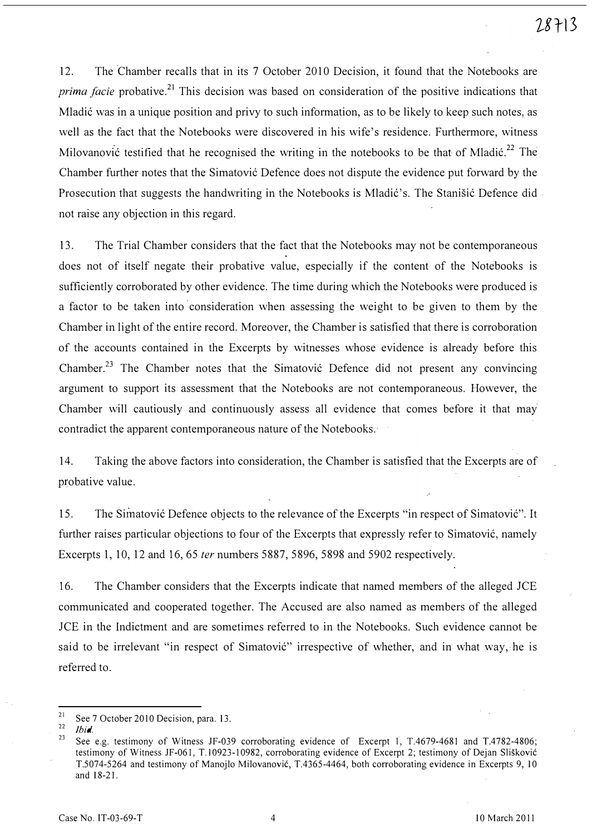12. The 'Chamber recalls that in its 7 October 2010 Decision, it found that the Notebooks are prima facie probative.<sup>21</sup> This decision was based on consideration of the positive indications that Mladic was in a unique position and privy to such information, as to be likely to keep such notes, as well as the fact that the Notebooks were discovered in his wife's residence. Furthermore, witness Milovanovic testified that he recognised the writing in the notebooks to be that of Mladic.<sup>22</sup> The Chamber further notes that the Simatovic Defence does not dispute the evidence put forward by the Prosecution that suggests the handwriting in the Notebooks is Mladić's. The Stanišić Defence did. not raise any objection in this regard.

13. The Trial Chamber considers that the fact that the Notebooks may not be contemporaneous does not of itself negate their probative value, especially if the content of the Notebooks is sufficiently corroborated by other evidence. The time during which the Notebooks were produced is a factor to be taken into' consideration when assessing the weight to be given to them by the Chamber in light of the entire record. Moreover, the Chamber is satisfied that there is corroboration of the accounts contained in the Excerpts by witnesses whose evidence is already before this Chamber.<sup>23</sup> The Chamber notes that the Simatovic Defence did not present any convincing argument to support its assessment that the Notebooks are not contemporaneous. However, the Chamber will cautiously and continuously assess all evidence that comes before it that may contradict the apparent contemporaneous nature of the Notebooks.

14. Taking the above factors into consideration, the Chamber is satisfied that the Excerpts are of probative value.

15. The Simatovic Defence objects to the relevance of the Excerpts "in respect of Simatovic". It further raises particular objections to four of the Excerpts that expressly refer to Simatovic, namely Excerpts 1, 10, 12 and 16,65 fer numbers 5887, 5896, 5898 and 5902 respectively.

16. The Chamber considers that the Excerpts indicate that named members of the alleged lCE communicated and cooperated together. The Accused are also named as members of the alleged lCE in the Indictment and are sometimes referred to in the Notebooks. Such evidence cannot be said to be irrelevant "in respect of Simatović" irrespective of whether, and in what way, he is referred to.

<sup>&</sup>lt;sup>21</sup> See 7 October 2010 Decision, para. 13.

Ibid.

<sup>&</sup>lt;sup>23</sup> See e.g. testimony of Witness JF-039 corroborating evidence of Excerpt 1, T.4679-4681 and T.4782-4806; testimony of Witness JF-061, T.10923-10982, corroborating evidence of Excerpt 2; testimony of Dejan Slišković T.5074-5264 and testimony of Manojlo Milovanovic, T.4365-4464, both corroborating evidence in Excerpts 9, 10 and 18-21.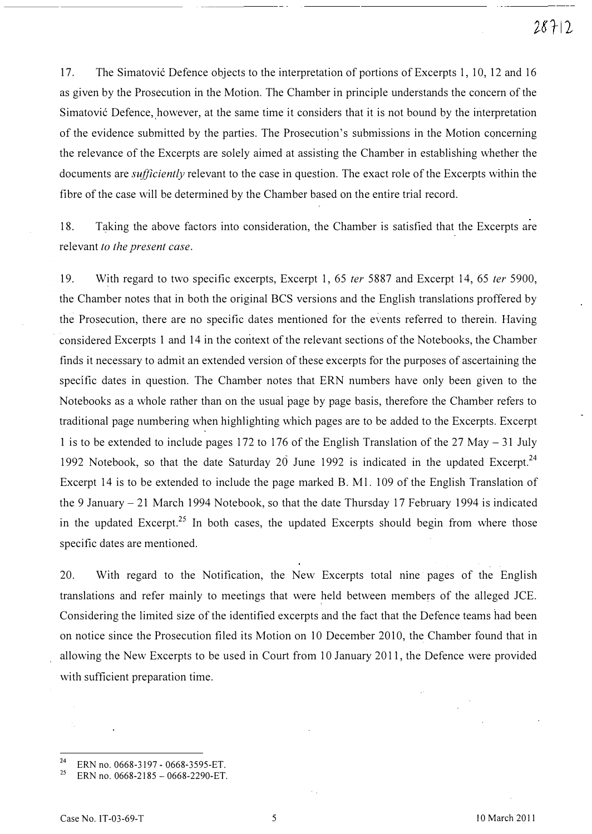17. The Simatovic Defence objects to the interpretation of portions of Excerpts 1, 10, 12 and 16 as given by the Prosecution in the Motion. The Chamber in principle understands the concern of the Simatović Defence, however, at the same time it considers that it is not bound by the interpretation of the evidence submitted by the parties. The Prosecution's submissions in the Motion concerning the relevance of the Excerpts are solely aimed at assisting the Chamber in establishing whether the documents are *sufficiently* relevant to the case in question. The exact role of the Excerpts within the fibre of the case will be determined by the Chamber based on the entire trial record.

18. Taking the above factors into consideration, the Chamber is satisfied that the Excerpts are relevant to the present case.

19. With regard to two specific excerpts, Excerpt 1, 65 ter 5887 and Excerpt 14, 65 ter 5900, the Chamber notes that in both the original BCS versions and the English translations proffered by the Prosecution, there are no specific dates mentioned for the events referred to therein. Having considered Excerpts 1 and 14 in the context of the relevant sections of the Notebooks, the Chamber finds it necessary to admit an extended version of these excerpts for the purposes of ascertaining the specific dates in question. The Chamber notes that ERN numbers have only been given to the Notebooks as a whole rather than on the usual page by page basis, therefore the Chamber refers to traditional page numbering when highlighting which pages are to be added to the Excerpts. Excerpt 1 is to be extended to include pages 172 to 176 of the English Translation of the 27 May - 31 July 1992 Notebook, so that the date Saturday  $20$  June 1992 is indicated in the updated Excerpt.<sup>24</sup> Excerpt 14 is to be extended to include the page marked B. Ml. 109 of the English Translation of the 9 January - 21 March 1994 Notebook, so that the date Thursday 17 February 1994 is indicated in the updated Excerpt.<sup>25</sup> In both cases, the updated Excerpts should begin from where those specific dates are mentioned.

20. With regard to the Notification, the New Excerpts total nine pages of the English translations and refer mainly to meetings that were held between members of the alleged JCE. Considering the limited size of the identified excerpts and the fact that the Defence teams had been on notice since the Prosecution filed its Motion on 10 December 2010, the Chamber found that in allowing the New Excerpts to be used in Court from 10 January 2011, the Defence were provided with sufficient preparation time.

<sup>&</sup>lt;sup>24</sup> ERN no. 0668-3197 - 0668-3595-ET.

ERN no. 0668-2185 - 0668-2290-ET.